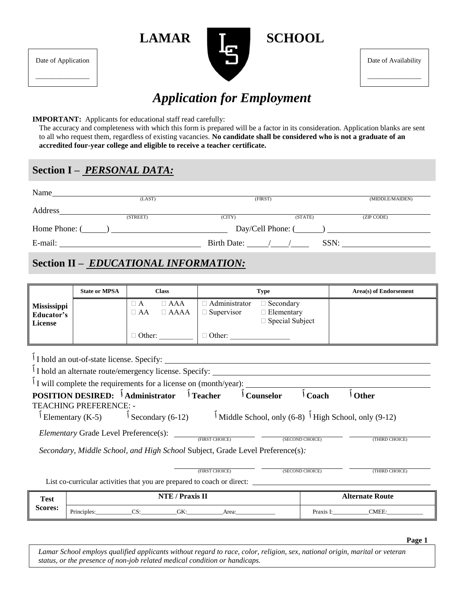

Date of Availability

\_\_\_\_\_\_\_\_\_\_\_\_\_\_\_\_

# *Application for Employment*

#### **IMPORTANT:** Applicants for educational staff read carefully:

The accuracy and completeness with which this form is prepared will be a factor in its consideration. Application blanks are sent to all who request them, regardless of existing vacancies. **No candidate shall be considered who is not a graduate of an accredited four-year college and eligible to receive a teacher certificate.** 

### **Section I –** *PERSONAL DATA:*

Date of Application

\_\_\_\_\_\_\_\_\_\_\_\_\_\_\_\_

| Name          | (LAST)                                                    | (FIRST)                                                         |         | (MIDDLE/MAIDEN)                |
|---------------|-----------------------------------------------------------|-----------------------------------------------------------------|---------|--------------------------------|
| Address       |                                                           |                                                                 |         |                                |
|               | (STREET)                                                  | (CITY)                                                          | (STATE) | (ZIP CODE)                     |
| Home Phone: ( | $\mathbf{I}$ and $\mathbf{I}$ are the set of $\mathbf{I}$ |                                                                 |         | $Day/Cell$ Phone: $(\_\_\_\_)$ |
| E-mail:       |                                                           | Birth Date: $\frac{\sqrt{1-\frac{1}{2}}}{\sqrt{1-\frac{1}{2}}}$ | SSN:    |                                |

# **Section II –** *EDUCATIONAL INFORMATION:*

|                                             | <b>State or MPSA</b> |                                   | <b>Class</b>                      |                                      | <b>Type</b>                                                     | Area(s) of Endorsement |
|---------------------------------------------|----------------------|-----------------------------------|-----------------------------------|--------------------------------------|-----------------------------------------------------------------|------------------------|
| Mississippi<br>Educator's<br><b>License</b> |                      | $\sqcup$ $\mathbf A$<br>$\Box$ AA | $\Box$ ${\rm AAA}$<br>$\Box$ AAAA | □ Administrator<br>$\Box$ Supervisor | $\Box$ Secondary<br>$\Box$ Elementary<br>$\Box$ Special Subject |                        |
|                                             |                      | $\Box$ Other:                     |                                   | $\Box$ Other:                        |                                                                 |                        |
| $\overline{\phantom{a}}$                    |                      |                                   |                                   |                                      |                                                                 |                        |

| I hold an out-of-state license. Specify:                                      |                |                                                                  |                 |                |
|-------------------------------------------------------------------------------|----------------|------------------------------------------------------------------|-----------------|----------------|
| $\int$ I hold an alternate route/emergency license. Specify:                  |                |                                                                  |                 |                |
| I will complete the requirements for a license on (month/year):               |                |                                                                  |                 |                |
| <b>POSITION DESIRED:</b> <sup>1</sup> Administrator <sup>1</sup> Teacher      |                | Counselor                                                        | Coach           | <b>Other</b>   |
| <b>TEACHING PREFERENCE: -</b>                                                 |                |                                                                  |                 |                |
| Elementary (K-5) $\int$ Secondary (6-12)                                      |                | $\int$ Middle School, only (6-8) $\int$ High School, only (9-12) |                 |                |
| <i>Elementary</i> Grade Level Preference(s):                                  | (FIRST CHOICE) |                                                                  | (SECOND CHOICE) | (THIRD CHOICE) |
| Secondary, Middle School, and High School Subject, Grade Level Preference(s): |                |                                                                  |                 |                |
|                                                                               |                |                                                                  |                 |                |
|                                                                               | (FIRST CHOICE) |                                                                  | (SECOND CHOICE) | (THIRD CHOICE) |
| List co-curricular activities that you are prepared to coach or direct:       |                |                                                                  |                 |                |

| <b>Test</b> | NTF /<br>' Praxis II                                      | <b>Alternate Route</b> |  |
|-------------|-----------------------------------------------------------|------------------------|--|
| Scores:     | $\mathbf{r}$ .<br>$\cap c$<br>GК:<br>Area:<br>Principles: | TMEE:<br>Praxis        |  |

**Page 1**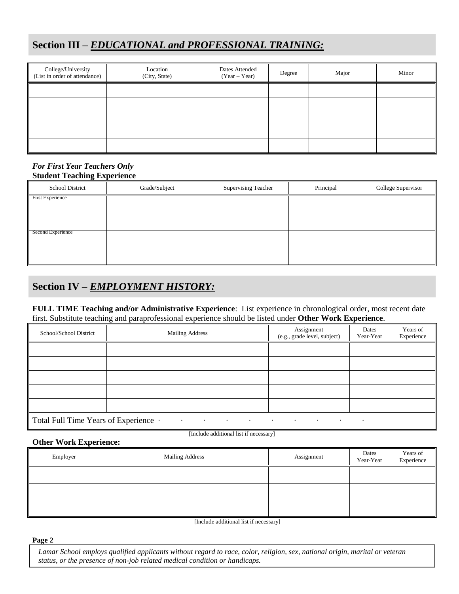## **Section III –** *EDUCATIONAL and PROFESSIONAL TRAINING:*

| College/University<br>(List in order of attendance) | Location<br>(City, State) | Dates Attended<br>$(Year - Year)$ | Degree | Major | Minor |
|-----------------------------------------------------|---------------------------|-----------------------------------|--------|-------|-------|
|                                                     |                           |                                   |        |       |       |
|                                                     |                           |                                   |        |       |       |
|                                                     |                           |                                   |        |       |       |
|                                                     |                           |                                   |        |       |       |
|                                                     |                           |                                   |        |       |       |

#### *For First Year Teachers Only* **Student Teaching Experience**

| School District         | Grade/Subject | <b>Supervising Teacher</b> | Principal | College Supervisor |
|-------------------------|---------------|----------------------------|-----------|--------------------|
| <b>First Experience</b> |               |                            |           |                    |
|                         |               |                            |           |                    |
|                         |               |                            |           |                    |
| Second Experience       |               |                            |           |                    |
|                         |               |                            |           |                    |
|                         |               |                            |           |                    |

### **Section IV –** *EMPLOYMENT HISTORY:*

#### **FULL TIME Teaching and/or Administrative Experience**: List experience in chronological order, most recent date first. Substitute teaching and paraprofessional experience should be listed under **Other Work Experience**.

| School/School District                | <b>Mailing Address</b>                                                          | Assignment<br>(e.g., grade level, subject) | Dates<br>Year-Year | Years of<br>Experience |
|---------------------------------------|---------------------------------------------------------------------------------|--------------------------------------------|--------------------|------------------------|
|                                       |                                                                                 |                                            |                    |                        |
|                                       |                                                                                 |                                            |                    |                        |
|                                       |                                                                                 |                                            |                    |                        |
|                                       |                                                                                 |                                            |                    |                        |
|                                       |                                                                                 |                                            |                    |                        |
| Total Full Time Years of Experience · | the contract of the contract of the contract of the contract of the contract of |                                            | $\bullet$          |                        |

#### **Other Work Experience:**

[Include additional list if necessary]

| Employer | Mailing Address | Assignment | Dates<br>Year-Year | Years of<br>Experience |
|----------|-----------------|------------|--------------------|------------------------|
|          |                 |            |                    |                        |
|          |                 |            |                    |                        |
|          |                 |            |                    |                        |

[Include additional list if necessary]

#### **Page 2**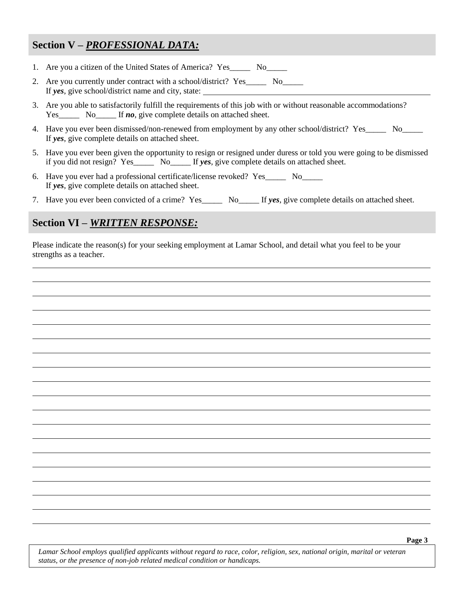### **Section V –** *PROFESSIONAL DATA:*

- 1. Are you a citizen of the United States of America? Yes No
- 2. Are you currently under contract with a school/district? Yes No If *yes*, give school/district name and city, state:
- 3. Are you able to satisfactorily fulfill the requirements of this job with or without reasonable accommodations? Yes\_\_\_\_\_\_ No\_\_\_\_\_ If **no**, give complete details on attached sheet.
- 4. Have you ever been dismissed/non-renewed from employment by any other school/district? Yes No If *yes*, give complete details on attached sheet.
- 5. Have you ever been given the opportunity to resign or resigned under duress or told you were going to be dismissed if you did not resign? Yes\_\_\_\_\_ No\_\_\_\_\_ If *yes*, give complete details on attached sheet.
- 6. Have you ever had a professional certificate/license revoked? Yes\_\_\_\_\_ No\_\_\_\_\_ If *yes*, give complete details on attached sheet.
- 7. Have you ever been convicted of a crime? Yes\_\_\_\_\_ No\_\_\_\_\_ If *yes*, give complete details on attached sheet.

### **Section VI –** *WRITTEN RESPONSE:*

Please indicate the reason(s) for your seeking employment at Lamar School, and detail what you feel to be your strengths as a teacher.